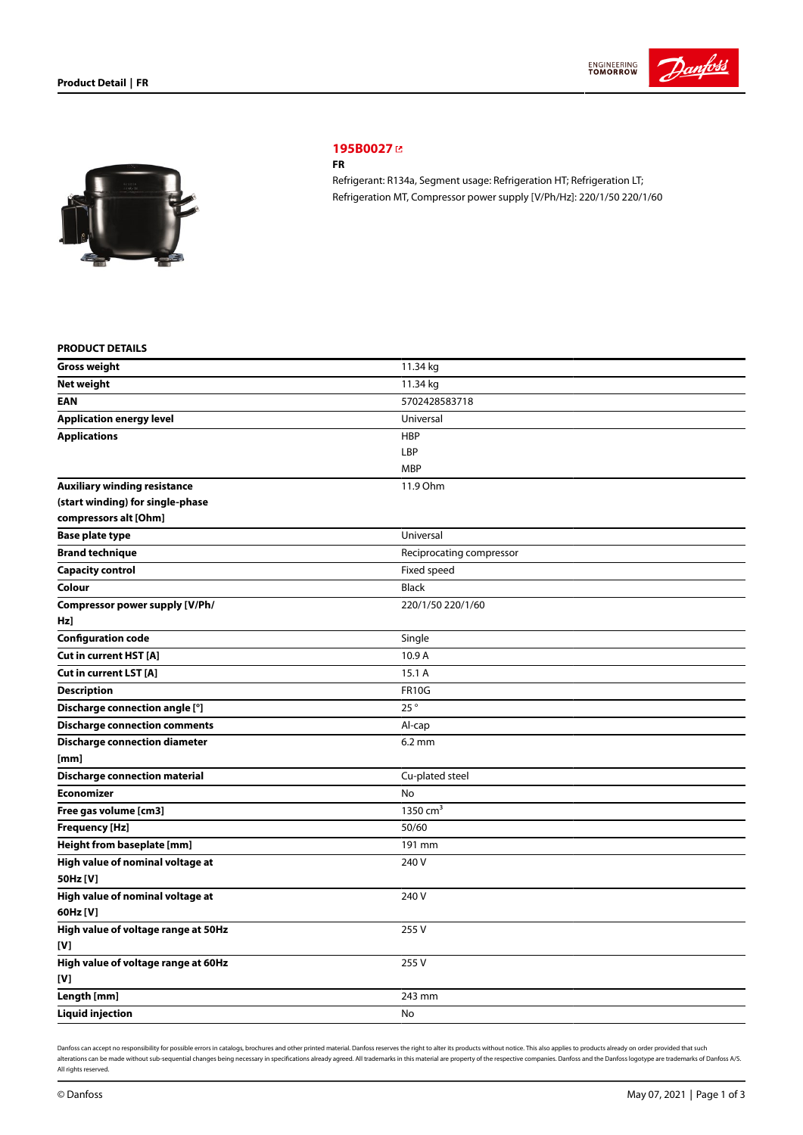



# **[195B0027](https://store.danfoss.com/sg/en/Climate-Solutions-for-cooling/Compressors/Compressors-for-Refrigeration/Danfoss-Light-Commercial-Refrigeration-Compressors/FR/p/195B0027)**

### **FR**

Refrigerant: R134a, Segment usage: Refrigeration HT; Refrigeration LT; Refrigeration MT, Compressor power supply [V/Ph/Hz]: 220/1/50 220/1/60

## **PRODUCT DETAILS**

| <b>Gross weight</b>                  | 11.34 kg                 |
|--------------------------------------|--------------------------|
| <b>Net weight</b>                    | 11.34 kg                 |
| <b>EAN</b>                           | 5702428583718            |
| Application energy level             | Universal                |
| <b>Applications</b>                  | <b>HBP</b>               |
|                                      | LBP                      |
|                                      | <b>MBP</b>               |
| <b>Auxiliary winding resistance</b>  | 11.9 Ohm                 |
| (start winding) for single-phase     |                          |
| compressors alt [Ohm]                |                          |
| <b>Base plate type</b>               | Universal                |
| <b>Brand technique</b>               | Reciprocating compressor |
| <b>Capacity control</b>              | Fixed speed              |
| Colour                               | <b>Black</b>             |
| Compressor power supply [V/Ph/       | 220/1/50 220/1/60        |
| Hz]                                  |                          |
| <b>Configuration code</b>            | Single                   |
| Cut in current HST [A]               | 10.9 A                   |
| Cut in current LST [A]               | 15.1 A                   |
| <b>Description</b>                   | <b>FR10G</b>             |
| Discharge connection angle [°]       | 25°                      |
| <b>Discharge connection comments</b> | Al-cap                   |
| <b>Discharge connection diameter</b> | $6.2 \text{ mm}$         |
| [mm]                                 |                          |
| <b>Discharge connection material</b> | Cu-plated steel          |
| <b>Economizer</b>                    | No                       |
| Free gas volume [cm3]                | 1350 $cm3$               |
| <b>Frequency [Hz]</b>                | 50/60                    |
| Height from baseplate [mm]           | 191 mm                   |
| High value of nominal voltage at     | 240 V                    |
| 50Hz [V]                             |                          |
| High value of nominal voltage at     | 240 V                    |
| 60Hz [V]                             |                          |
| High value of voltage range at 50Hz  | 255V                     |
| [V]                                  |                          |
| High value of voltage range at 60Hz  | 255V                     |
| [V]                                  |                          |
| Length [mm]                          | 243 mm                   |
| <b>Liquid injection</b>              | No                       |

Danfoss can accept no responsibility for possible errors in catalogs, brochures and other printed material. Danfoss reserves the right to alter its products without notice. This also applies to products already on order pr alterations can be made without sub-sequential changes being necessary in specifications already agreed. All trademarks in this material are property of the respective companies. Danfoss and the Danfoss logotype are tradem All rights reserved.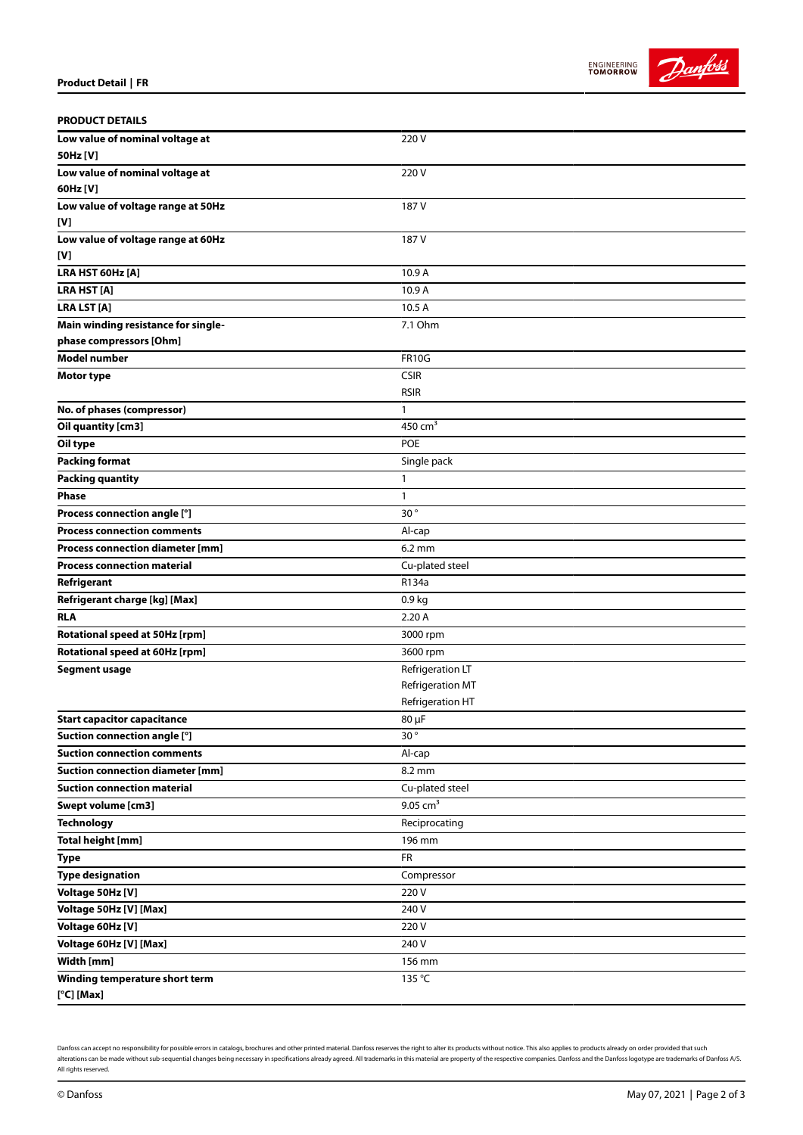



| <b>PRODUCT DETAILS</b>                  |                        |
|-----------------------------------------|------------------------|
| Low value of nominal voltage at         | 220V                   |
| 50Hz [V]                                |                        |
| Low value of nominal voltage at         | 220 V                  |
| 60Hz [V]                                |                        |
| Low value of voltage range at 50Hz      | 187 V                  |
| [V]                                     |                        |
| Low value of voltage range at 60Hz      | 187 V                  |
| [V]                                     |                        |
| LRA HST 60Hz [A]                        | 10.9 A                 |
| <b>LRA HST [A]</b>                      | 10.9 A                 |
| <b>LRA LST [A]</b>                      | 10.5 A                 |
| Main winding resistance for single-     | 7.1 Ohm                |
| phase compressors [Ohm]                 |                        |
| <b>Model number</b>                     | <b>FR10G</b>           |
| Motor type                              | <b>CSIR</b>            |
|                                         | <b>RSIR</b>            |
| No. of phases (compressor)              | 1                      |
| Oil quantity [cm3]                      | 450 $cm3$              |
| Oil type                                | <b>POE</b>             |
| <b>Packing format</b>                   | Single pack            |
| <b>Packing quantity</b>                 | $\mathbf{1}$           |
| <b>Phase</b>                            | $\mathbf{1}$           |
| Process connection angle [°]            | 30°                    |
| <b>Process connection comments</b>      | Al-cap                 |
| Process connection diameter [mm]        | $6.2 \text{ mm}$       |
| <b>Process connection material</b>      | Cu-plated steel        |
| Refrigerant                             | R134a                  |
| Refrigerant charge [kg] [Max]           | 0.9 <sub>kg</sub>      |
| <b>RLA</b>                              | 2.20 A                 |
| Rotational speed at 50Hz [rpm]          | 3000 rpm               |
| Rotational speed at 60Hz [rpm]          | 3600 rpm               |
| <b>Segment usage</b>                    | Refrigeration LT       |
|                                         | Refrigeration MT       |
|                                         | Refrigeration HT       |
| <b>Start capacitor capacitance</b>      | 80 µF                  |
| Suction connection angle [°]            | 30 $^{\circ}$          |
| <b>Suction connection comments</b>      | Al-cap                 |
| <b>Suction connection diameter [mm]</b> | 8.2 mm                 |
| <b>Suction connection material</b>      | Cu-plated steel        |
| Swept volume [cm3]                      | $9.05$ cm <sup>3</sup> |
| <b>Technology</b>                       | Reciprocating          |
| <b>Total height [mm]</b>                | 196 mm                 |
| <b>Type</b>                             | <b>FR</b>              |
| <b>Type designation</b>                 | Compressor             |
| Voltage 50Hz [V]                        | 220 V                  |
| Voltage 50Hz [V] [Max]                  | 240 V                  |
| Voltage 60Hz [V]                        | 220 V                  |
| Voltage 60Hz [V] [Max]                  | 240 V                  |
| Width [mm]                              | 156 mm                 |
| Winding temperature short term          | 135 °C                 |
| $[°C]$ [Max]                            |                        |

Danfoss can accept no responsibility for possible errors in catalogs, brochures and other printed material. Danfoss reserves the right to alter its products without notice. This also applies to products already on order pr alterations can be made without sub-sequential changes being necessary in specifications already agreed. All trademarks in this material are property of the respective companies. Danfoss and the Danfoss logotype are tradem All rights reserved.